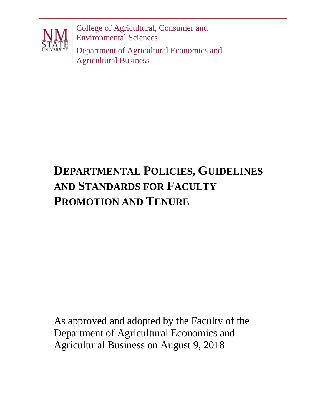

College of Agricultural, Consumer and Environmental Sciences Department of Agricultural Economics and

Agricultural Business

# **DEPARTMENTAL POLICIES, GUIDELINES AND STANDARDS FOR FACULTY PROMOTION AND TENURE**

As approved and adopted by the Faculty of the Department of Agricultural Economics and Agricultural Business on August 9, 2018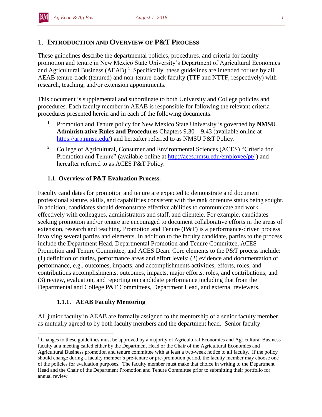## 1. **INTRODUCTION AND OVERVIEW OF P&T PROCESS**

These guidelines describe the departmental policies, procedures, and criteria for faculty promotion and tenure in New Mexico State University's Department of Agricultural Economics and Agricultural Business  $(AEAB)^1$  Specifically, these guidelines are intended for use by all AEAB tenure-track (tenured) and non-tenure-track faculty (TTF and NTTF, respectively) with research, teaching, and/or extension appointments.

This document is supplemental and subordinate to both University and College policies and procedures. Each faculty member in AEAB is responsible for following the relevant criteria procedures presented herein and in each of the following documents:

- 1. Promotion and Tenure policy for New Mexico State University is governed by **NMSU Administrative Rules and Procedures** Chapters 9.30 – 9.43 (available online at [https://arp.nmsu.edu/\)](https://arp.nmsu.edu/) and hereafter referred to as NMSU P&T Policy.
- <sup>2.</sup> College of Agricultural, Consumer and Environmental Sciences (ACES) "Criteria for Promotion and Tenure" (available online at<http://aces.nmsu.edu/employee/pt/>) and hereafter referred to as ACES P&T Policy.

## **1.1. Overview of P&T Evaluation Process.**

Faculty candidates for promotion and tenure are expected to demonstrate and document professional stature, skills, and capabilities consistent with the rank or tenure status being sought. In addition, candidates should demonstrate effective abilities to communicate and work effectively with colleagues, administrators and staff, and clientele. For example, candidates seeking promotion and/or tenure are encouraged to document collaborative efforts in the areas of extension, research and teaching. Promotion and Tenure (P&T) is a performance-driven process involving several parties and elements. In addition to the faculty candidate, parties to the process include the Department Head, Departmental Promotion and Tenure Committee, ACES Promotion and Tenure Committee, and ACES Dean. Core elements to the P&T process include: (1) definition of duties, performance areas and effort levels; (2) evidence and documentation of performance, e.g., outcomes, impacts, and accomplishments activities, efforts, roles, and contributions accomplishments, outcomes, impacts, major efforts, roles, and contributions; and (3) review, evaluation, and reporting on candidate performance including that from the Departmental and College P&T Committees, Department Head, and external reviewers.

## **1.1.1. AEAB Faculty Mentoring**

All junior faculty in AEAB are formally assigned to the mentorship of a senior faculty member as mutually agreed to by both faculty members and the department head. Senior faculty

 $\overline{a}$ <sup>1</sup> Changes to these guidelines must be approved by a majority of Agricultural Economics and Agricultural Business faculty at a meeting called either by the Department Head or the Chair of the Agricultural Economics and Agricultural Business promotion and tenure committee with at least a two-week notice to all faculty. If the policy should change during a faculty member's pre-tenure or pre-promotion period, the faculty member may choose one of the policies for evaluation purposes. The faculty member must make that choice in writing to the Department Head and the Chair of the Department Promotion and Tenure Committee prior to submitting their portfolio for annual review.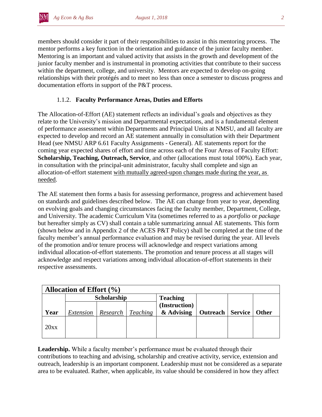members should consider it part of their responsibilities to assist in this mentoring process. The mentor performs a key function in the orientation and guidance of the junior faculty member. Mentoring is an important and valued activity that assists in the growth and development of the junior faculty member and is instrumental in promoting activities that contribute to their success within the department, college, and university. Mentors are expected to develop on-going relationships with their protégés and to meet no less than once a semester to discuss progress and documentation efforts in support of the P&T process.

## 1.1.2. **Faculty Performance Areas, Duties and Efforts**

The Allocation-of-Effort (AE) statement reflects an individual's goals and objectives as they relate to the University's mission and Departmental expectations, and is a fundamental element of performance assessment within Departments and Principal Units at NMSU, and all faculty are expected to develop and record an AE statement annually in consultation with their Department Head (see NMSU ARP 6.61 Faculty Assignments - General). AE statements report for the coming year expected shares of effort and time across each of the Four Areas of Faculty Effort: **Scholarship, Teaching, Outreach, Service**, and other (allocations must total 100%). Each year, in consultation with the principal-unit administrator, faculty shall complete and sign an allocation-of-effort statement with mutually agreed-upon changes made during the year, as needed.

The AE statement then forms a basis for assessing performance, progress and achievement based on standards and guidelines described below. The AE can change from year to year, depending on evolving goals and changing circumstances facing the faculty member, Department, College, and University. The academic Curriculum Vita (sometimes referred to as a *portfolio* or *package* but hereafter simply as CV) shall contain a table summarizing annual AE statements. This form (shown below and in Appendix 2 of the ACES P&T Policy) shall be completed at the time of the faculty member's annual performance evaluation and may be revised during the year. All levels of the promotion and/or tenure process will acknowledge and respect variations among individual allocation-of-effort statements. The promotion and tenure process at all stages will acknowledge and respect variations among individual allocation-of-effort statements in their respective assessments.

| Allocation of Effort $(\% )$ |           |                    |                 |                 |                             |  |              |  |  |  |  |
|------------------------------|-----------|--------------------|-----------------|-----------------|-----------------------------|--|--------------|--|--|--|--|
|                              |           | <b>Scholarship</b> |                 | <b>Teaching</b> |                             |  |              |  |  |  |  |
|                              |           |                    |                 | (Instruction)   |                             |  |              |  |  |  |  |
| Year                         | Extension | Research           | <b>Teaching</b> | & Advising      | <b>Outreach   Service  </b> |  | <b>Other</b> |  |  |  |  |
| 20xx                         |           |                    |                 |                 |                             |  |              |  |  |  |  |

**Leadership.** While a faculty member's performance must be evaluated through their contributions to teaching and advising, scholarship and creative activity, service, extension and outreach, leadership is an important component. Leadership must not be considered as a separate area to be evaluated. Rather, when applicable, its value should be considered in how they affect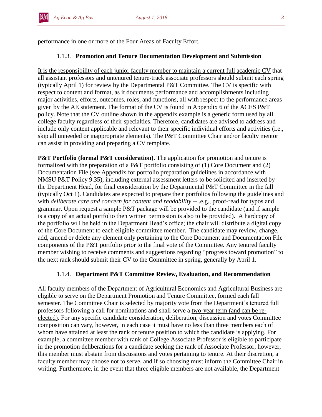performance in one or more of the Four Areas of Faculty Effort.

## 1.1.3. **Promotion and Tenure Documentation Development and Submission**

It is the responsibility of each junior faculty member to maintain a current full academic CV that all assistant professors and untenured tenure-track associate professors should submit each spring (typically April 1) for review by the Departmental P&T Committee. The CV is specific with respect to content and format, as it documents performance and accomplishments including major activities, efforts, outcomes, roles, and functions, all with respect to the performance areas given by the AE statement. The format of the CV is found in Appendix 6 of the ACES P&T policy. Note that the CV outline shown in the appendix example is a generic form used by all college faculty regardless of their specialties. Therefore, candidates are advised to address and include only content applicable and relevant to their specific individual efforts and activities (i.e., skip all unneeded or inappropriate elements). The P&T Committee Chair and/or faculty mentor can assist in providing and preparing a CV template.

**P&T Portfolio (formal P&T consideration)**. The application for promotion and tenure is formalized with the preparation of a P&T portfolio consisting of (1) Core Document and (2) Documentation File (see Appendix for portfolio preparation guidelines in accordance with NMSU P&T Policy 9.35), including external assessment letters to be solicited and inserted by the Department Head, for final consideration by the Departmental P&T Committee in the fall (typically Oct 1). Candidates are expected to prepare their portfolios following the guidelines and with *deliberate care and concern for content and readability* -- .e.g., proof-read for typos and grammar. Upon request a sample P&T package will be provided to the candidate (and if sample is a copy of an actual portfolio then written permission is also to be provided). A hardcopy of the portfolio will be held in the Department Head's office; the chair will distribute a digital copy of the Core Document to each eligible committee member. The candidate may review, change, add, amend or delete any element only pertaining to the Core Document and Documentation File components of the P&T portfolio prior to the final vote of the Committee. Any tenured faculty member wishing to receive comments and suggestions regarding "progress toward promotion" to the next rank should submit their CV to the Committee in spring, generally by April 1.

## 1.1.4. **Department P&T Committee Review, Evaluation, and Recommendation**

All faculty members of the Department of Agricultural Economics and Agricultural Business are eligible to serve on the Department Promotion and Tenure Committee, formed each fall semester. The Committee Chair is selected by majority vote from the Department's tenured full professors following a call for nominations and shall serve a two-year term (and can be reelected). For any specific candidate consideration, deliberation, discussion and votes Committee composition can vary, however, in each case it must have no less than three members each of whom have attained at least the rank or tenure position to which the candidate is applying. For example, a committee member with rank of College Associate Professor is eligible to participate in the promotion deliberations for a candidate seeking the rank of Associate Professor; however, this member must abstain from discussions and votes pertaining to tenure. At their discretion, a faculty member may choose not to serve, and if so choosing must inform the Committee Chair in writing. Furthermore, in the event that three eligible members are not available, the Department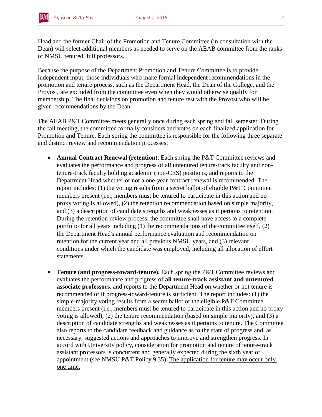Head and the former Chair of the Promotion and Tenure Committee (in consultation with the Dean) will select additional members as needed to serve on the AEAB committee from the ranks of NMSU tenured, full professors.

Because the purpose of the Department Promotion and Tenure Committee is to provide independent input, those individuals who make formal independent recommendations in the promotion and tenure process, such as the Department Head, the Dean of the College, and the Provost, are excluded from the committee even when they would otherwise qualify for membership. The final decisions on promotion and tenure rest with the Provost who will be given recommendations by the Dean.

The AEAB P&T Committee meets generally once during each spring and fall semester. During the fall meeting, the committee formally considers and votes on each finalized application for Promotion and Tenure. Each spring the committee is responsible for the following three separate and distinct review and recommendation processes:

- **Annual Contract Renewal (retention).** Each spring the P&T Committee reviews and evaluates the performance and progress of all untenured tenure-track faculty and nontenure-track faculty holding academic (non-CES) positions, and reports to the Department Head whether or not a one-year contract renewal is recommended. The report includes: (1) the voting results from a secret ballot of eligible P&T Committee members present (i.e., members must be tenured to participate in this action and no proxy voting is allowed), (2) the retention recommendation based on simple majority, and (3) a description of candidate strengths and weaknesses as it pertains to retention. During the retention review process, the committee shall have access to a complete portfolio for all years including (1) the recommendations of the committee itself, (2) the Department Head's annual performance evaluation and recommendation on retention for the current year and all previous NMSU years, and (3) relevant conditions under which the candidate was employed, including all allocation of effort statements.
- **Tenure (and progress-toward-tenure).** Each spring the P&T Committee reviews and evaluates the performance and progress of **all tenure-track assistant and untenured associate professors**, and reports to the Department Head on whether or not tenure is recommended or if progress-toward-tenure is sufficient. The report includes: (1) the simple-majority voting results from a secret ballot of the eligible P&T Committee members present (i.e., members must be tenured to participate in this action and no proxy voting is allowed), (2) the tenure recommendation (based on simple majority), and (3) a description of candidate strengths and weaknesses as it pertains to tenure. The Committee also reports to the candidate feedback and guidance as to the state of progress and, as necessary, suggested actions and approaches to improve and strengthen progress. In accord with University policy, consideration for promotion and tenure of tenure-track assistant professors is concurrent and generally expected during the sixth year of appointment (see NMSU P&T Policy 9.35). The application for tenure may occur only one time.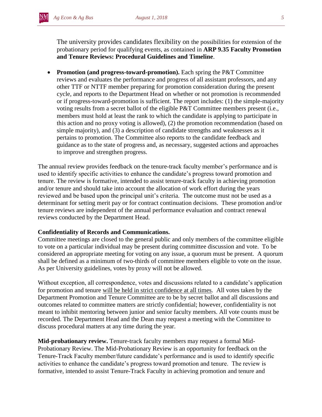The university provides candidates flexibility on the possibilities for extension of the probationary period for qualifying events, as contained in **ARP 9.35 Faculty Promotion and Tenure Reviews: Procedural Guidelines and Timeline**.

 **Promotion (and progress-toward-promotion).** Each spring the P&T Committee reviews and evaluates the performance and progress of all assistant professors, and any other TTF or NTTF member preparing for promotion consideration during the present cycle, and reports to the Department Head on whether or not promotion is recommended or if progress-toward-promotion is sufficient. The report includes: (1) the simple-majority voting results from a secret ballot of the eligible P&T Committee members present (i.e., members must hold at least the rank to which the candidate is applying to participate in this action and no proxy voting is allowed), (2) the promotion recommendation (based on simple majority), and (3) a description of candidate strengths and weaknesses as it pertains to promotion. The Committee also reports to the candidate feedback and guidance as to the state of progress and, as necessary, suggested actions and approaches to improve and strengthen progress.

The annual review provides feedback on the tenure-track faculty member's performance and is used to identify specific activities to enhance the candidate's progress toward promotion and tenure. The review is formative, intended to assist tenure-track faculty in achieving promotion and/or tenure and should take into account the allocation of work effort during the years reviewed and be based upon the principal unit's criteria. The outcome must not be used as a determinant for setting merit pay or for contract continuation decisions. These promotion and/or tenure reviews are independent of the annual performance evaluation and contract renewal reviews conducted by the Department Head.

#### **Confidentiality of Records and Communications.**

Committee meetings are closed to the general public and only members of the committee eligible to vote on a particular individual may be present during committee discussion and vote. To be considered an appropriate meeting for voting on any issue, a quorum must be present. A quorum shall be defined as a minimum of two-thirds of committee members eligible to vote on the issue. As per University guidelines, votes by proxy will not be allowed.

Without exception, all correspondence, votes and discussions related to a candidate's application for promotion and tenure will be held in strict confidence at all times. All votes taken by the Department Promotion and Tenure Committee are to be by secret ballot and all discussions and outcomes related to committee matters are strictly confidential; however, confidentiality is not meant to inhibit mentoring between junior and senior faculty members. All vote counts must be recorded. The Department Head and the Dean may request a meeting with the Committee to discuss procedural matters at any time during the year.

**Mid-probationary review.** Tenure-track faculty members may request a formal Mid-Probationary Review. The Mid-Probationary Review is an opportunity for feedback on the Tenure-Track Faculty member/future candidate's performance and is used to identify specific activities to enhance the candidate's progress toward promotion and tenure. The review is formative, intended to assist Tenure-Track Faculty in achieving promotion and tenure and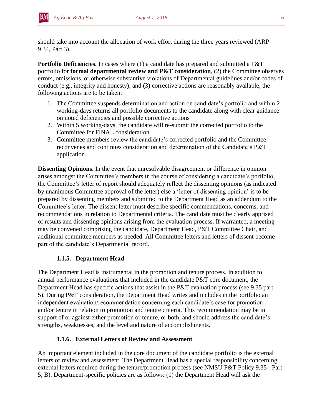should take into account the allocation of work effort during the three years reviewed (ARP 9.34, Part 3).

**Portfolio Deficiencies.** In cases where (1) a candidate has prepared and submitted a P&T portfolio for **formal departmental review and P&T consideration**, (2) the Committee observes errors, omissions, or otherwise substantive violations of Departmental guidelines and/or codes of conduct (e.g., integrity and honesty), and (3) corrective actions are reasonably available, the following actions are to be taken:

- 1. The Committee suspends determination and action on candidate's portfolio and within 2 working-days returns all portfolio documents to the candidate along with clear guidance on noted deficiencies and possible corrective actions
- 2. Within 5 working-days, the candidate will re-submit the corrected portfolio to the Committee for FINAL consideration
- 3. Committee members review the candidate's corrected portfolio and the Committee reconvenes and continues consideration and determination of the Candidate's P&T application.

**Dissenting Opinions.** In the event that unresolvable disagreement or difference in opinion arises amongst the Committee's members in the course of considering a candidate's portfolio, the Committee's letter of report should adequately reflect the dissenting opinions (as indicated by unanimous Committee approval of the letter) else a 'letter of dissenting opinion' is to be prepared by dissenting members and submitted to the Department Head as an addendum to the Committee's letter. The dissent letter must describe specific commendations, concerns, and recommendations in relation to Departmental criteria. The candidate must be clearly apprised of results and dissenting opinions arising from the evaluation process. If warranted, a meeting may be convened comprising the candidate, Department Head, P&T Committee Chair, and additional committee members as needed. All Committee letters and letters of dissent become part of the candidate's Departmental record.

## **1.1.5. Department Head**

The Department Head is instrumental in the promotion and tenure process. In addition to annual performance evaluations that included in the candidate P&T core document, the Department Head has specific actions that assist in the P&T evaluation process (see 9.35 part 5). During P&T consideration, the Department Head writes and includes in the portfolio an independent evaluation/recommendation concerning each candidate's case for promotion and/or tenure in relation to promotion and tenure criteria. This recommendation may be in support of or against either promotion or tenure, or both, and should address the candidate's strengths, weaknesses, and the level and nature of accomplishments.

## **1.1.6. External Letters of Review and Assessment**

An important element included in the core document of the candidate portfolio is the external letters of review and assessment. The Department Head has a special responsibility concerning external letters required during the tenure/promotion process (see NMSU P&T Policy 9.35 - Part 5, B). Department-specific policies are as follows: (1) the Department Head will ask the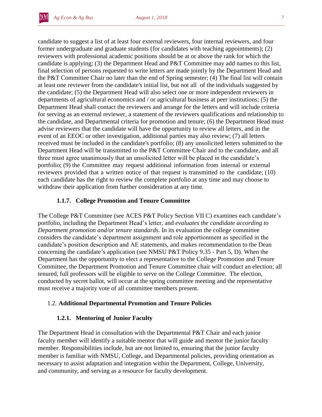

candidate to suggest a list of at least four external reviewers, four internal reviewers, and four former undergraduate and graduate students (for candidates with teaching appointments); (2) reviewers with professional academic positions should be at or above the rank for which the candidate is applying; (3) the Department Head and P&T Committee may add names to this list, final selection of persons requested to write letters are made jointly by the Department Head and the P&T Committee Chair no later than the end of Spring semester; (4) The final list will contain at least one reviewer from the candidate's initial list, but not all of the individuals suggested by the candidate; (5) the Department Head will also select one or more independent reviewers in departments of agricultural economics and / or agricultural business at peer institutions; (5) the Department Head shall contact the reviewers and arrange for the letters and will include criteria for serving as an external reviewer, a statement of the reviewers qualifications and relationship to the candidate, and Departmental criteria for promotion and tenure; (6) the Department Head must advise reviewers that the candidate will have the opportunity to review all letters, and in the event of an EEOC or other investigation, additional parties may also review; (7) all letters received must be included in the candidate's portfolio; (8) any unsolicited letters submitted to the Department Head will be transmitted to the P&T Committee Chair and to the candidate, and all three must agree unanimously that an unsolicited letter will be placed in the candidate's portfolio; (9) the Committee may request additional information from internal or external reviewers provided that a written notice of that request is transmitted to the candidate; (10) each candidate has the right to review the complete portfolio at any time and may choose to withdraw their application from further consideration at any time.

#### **1.1.7. College Promotion and Tenure Committee**

The College P&T Committee (see ACES P&T Policy Section VII C) examines each candidate's portfolio, including the Department Head's letter, and *evaluates the candidate according to Department promotion and/or tenure standards*. In its evaluation the college committee considers the candidate's department assignment and role apportionment as specified in the candidate's position description and AE statements, and makes recommendation to the Dean concerning the candidate's application (see NMSU P&T Policy 9.35 - Part 5, D). When the Department has the opportunity to elect a representative to the College Promotion and Tenure Committee, the Department Promotion and Tenure Committee chair will conduct an election; all tenured, full professors will be eligible to serve on the College Committee. The election, conducted by secret ballot, will occur at the spring committee meeting and the representative must receive a majority vote of all committee members present.

#### 1.2. **Additional Departmental Promotion and Tenure Policies**

#### **1.2.1. Mentoring of Junior Faculty**

The Department Head in consultation with the Departmental P&T Chair and each junior faculty member will identify a suitable mentor that will guide and mentor the junior faculty member. Responsibilities include, but are not limited to, ensuring that the junior faculty member is familiar with NMSU, College, and Departmental policies, providing orientation as necessary to assist adaptation and integration within the Department, College, University, and community, and serving as a resource for faculty development.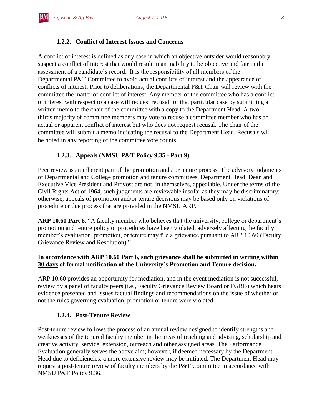## **1.2.2. Conflict of Interest Issues and Concerns**

A conflict of interest is defined as any case in which an objective outsider would reasonably suspect a conflict of interest that would result in an inability to be objective and fair in the assessment of a candidate's record. It is the responsibility of all members of the Departmental P&T Committee to avoid actual conflicts of interest and the appearance of conflicts of interest. Prior to deliberations, the Departmental P&T Chair will review with the committee the matter of conflict of interest. Any member of the committee who has a conflict of interest with respect to a case will request recusal for that particular case by submitting a written memo to the chair of the committee with a copy to the Department Head. A twothirds majority of committee members may vote to recuse a committee member who has an actual or apparent conflict of interest but who does not request recusal. The chair of the committee will submit a memo indicating the recusal to the Department Head. Recusals will be noted in any reporting of the committee vote counts.

## **1.2.3. Appeals (NMSU P&T Policy 9.35 - Part 9)**

Peer review is an inherent part of the promotion and / or tenure process. The advisory judgments of Departmental and College promotion and tenure committees, Department Head, Dean and Executive Vice President and Provost are not, in themselves, appealable. Under the terms of the Civil Rights Act of 1964, such judgments are reviewable insofar as they may be discriminatory; otherwise, appeals of promotion and/or tenure decisions may be based only on violations of procedure or due process that are provided in the NMSU ARP.

**ARP 10.60 Part 6.** "A faculty member who believes that the university, college or department's promotion and tenure policy or procedures have been violated, adversely affecting the faculty member's evaluation, promotion, or tenure may file a grievance pursuant to ARP 10.60 (Faculty Grievance Review and Resolution)."

## **In accordance with ARP 10.60 Part 6, such grievance shall be submitted in writing within 30 days of formal notification of the University's Promotion and Tenure decision.**

ARP 10.60 provides an opportunity for mediation, and in the event mediation is not successful, review by a panel of faculty peers (i.e., Faculty Grievance Review Board or FGRB) which hears evidence presented and issues factual findings and recommendations on the issue of whether or not the rules governing evaluation, promotion or tenure were violated.

#### **1.2.4. Post-Tenure Review**

Post-tenure review follows the process of an annual review designed to identify strengths and weaknesses of the tenured faculty member in the areas of teaching and advising, scholarship and creative activity, service, extension, outreach and other assigned areas. The Performance Evaluation generally serves the above aim; however, if deemed necessary by the Department Head due to deficiencies, a more extensive review may be initiated. The Department Head may request a post-tenure review of faculty members by the P&T Committee in accordance with NMSU P&T Policy 9.36.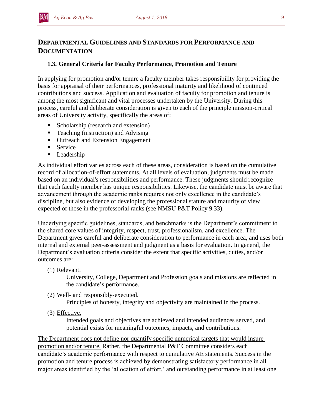## **DEPARTMENTAL GUIDELINES AND STANDARDS FOR PERFORMANCE AND DOCUMENTATION**

## **1.3. General Criteria for Faculty Performance, Promotion and Tenure**

In applying for promotion and/or tenure a faculty member takes responsibility for providing the basis for appraisal of their performances, professional maturity and likelihood of continued contributions and success. Application and evaluation of faculty for promotion and tenure is among the most significant and vital processes undertaken by the University. During this process, careful and deliberate consideration is given to each of the principle mission-critical areas of University activity, specifically the areas of:

- Scholarship (research and extension)
- Teaching (instruction) and Advising
- **•** Outreach and Extension Engagement
- **Service**
- Leadership

As individual effort varies across each of these areas, consideration is based on the cumulative record of allocation-of-effort statements. At all levels of evaluation, judgments must be made based on an individual's responsibilities and performance. These judgments should recognize that each faculty member has unique responsibilities. Likewise, the candidate must be aware that advancement through the academic ranks requires not only excellence in the candidate's discipline, but also evidence of developing the professional stature and maturity of view expected of those in the professorial ranks (see NMSU P&T Policy 9.33).

Underlying specific guidelines, standards, and benchmarks is the Department's commitment to the shared core values of integrity, respect, trust, professionalism, and excellence. The Department gives careful and deliberate consideration to performance in each area, and uses both internal and external peer-assessment and judgment as a basis for evaluation. In general, the Department's evaluation criteria consider the extent that specific activities, duties, and/or outcomes are:

(1) Relevant.

University, College, Department and Profession goals and missions are reflected in the candidate's performance.

(2) Well- and responsibly-executed.

Principles of honesty, integrity and objectivity are maintained in the process.

(3) Effective.

Intended goals and objectives are achieved and intended audiences served, and potential exists for meaningful outcomes, impacts, and contributions.

The Department does not define nor quantify specific numerical targets that would insure promotion and/or tenure. Rather, the Departmental P&T Committee considers each candidate's academic performance with respect to cumulative AE statements. Success in the promotion and tenure process is achieved by demonstrating satisfactory performance in all major areas identified by the 'allocation of effort,' and outstanding performance in at least one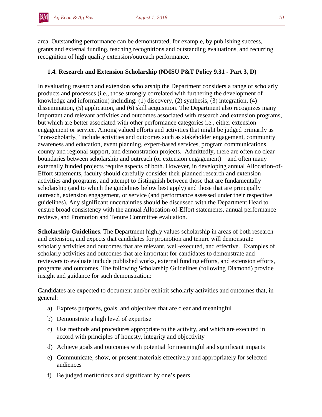area. Outstanding performance can be demonstrated, for example, by publishing success, grants and external funding, teaching recognitions and outstanding evaluations, and recurring recognition of high quality extension/outreach performance.

## **1.4. Research and Extension Scholarship (NMSU P&T Policy 9.31 - Part 3, D)**

In evaluating research and extension scholarship the Department considers a range of scholarly products and processes (i.e., those strongly correlated with furthering the development of knowledge and information) including: (1) discovery, (2) synthesis, (3) integration, (4) dissemination, (5) application, and (6) skill acquisition. The Department also recognizes many important and relevant activities and outcomes associated with research and extension programs, but which are better associated with other performance categories i.e., either extension engagement or service. Among valued efforts and activities that might be judged primarily as "non-scholarly," include activities and outcomes such as stakeholder engagement, community awareness and education, event planning, expert-based services, program communications, county and regional support, and demonstration projects. Admittedly, there are often no clear boundaries between scholarship and outreach (or extension engagement) – and often many externally funded projects require aspects of both. However, in developing annual Allocation-of-Effort statements, faculty should carefully consider their planned research and extension activities and programs, and attempt to distinguish between those that are fundamentally scholarship (and to which the guidelines below best apply) and those that are principally outreach, extension engagement, or service (and performance assessed under their respective guidelines). Any significant uncertainties should be discussed with the Department Head to ensure broad consistency with the annual Allocation-of-Effort statements, annual performance reviews, and Promotion and Tenure Committee evaluation.

**Scholarship Guidelines.** The Department highly values scholarship in areas of both research and extension, and expects that candidates for promotion and tenure will demonstrate scholarly activities and outcomes that are relevant, well-executed, and effective. Examples of scholarly activities and outcomes that are important for candidates to demonstrate and reviewers to evaluate include published works, external funding efforts, and extension efforts, programs and outcomes. The following Scholarship Guidelines (following Diamond) provide insight and guidance for such demonstration:

Candidates are expected to document and/or exhibit scholarly activities and outcomes that, in general:

- a) Express purposes, goals, and objectives that are clear and meaningful
- b) Demonstrate a high level of expertise
- c) Use methods and procedures appropriate to the activity, and which are executed in accord with principles of honesty, integrity and objectivity
- d) Achieve goals and outcomes with potential for meaningful and significant impacts
- e) Communicate, show, or present materials effectively and appropriately for selected audiences
- f) Be judged meritorious and significant by one's peers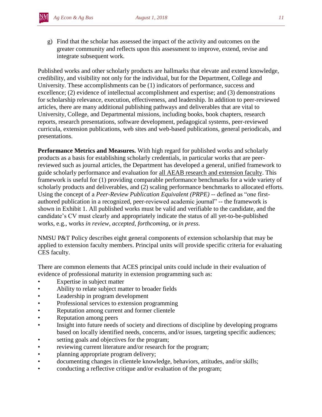g) Find that the scholar has assessed the impact of the activity and outcomes on the greater community and reflects upon this assessment to improve, extend, revise and integrate subsequent work.

Published works and other scholarly products are hallmarks that elevate and extend knowledge, credibility, and visibility not only for the individual, but for the Department, College and University. These accomplishments can be (1) indicators of performance, success and excellence; (2) evidence of intellectual accomplishment and expertise; and (3) demonstrations for scholarship relevance, execution, effectiveness, and leadership. In addition to peer-reviewed articles, there are many additional publishing pathways and deliverables that are vital to University, College, and Departmental missions, including books, book chapters, research reports, research presentations, software development, pedagogical systems, peer-reviewed curricula, extension publications, web sites and web-based publications, general periodicals, and presentations.

**Performance Metrics and Measures.** With high regard for published works and scholarly products as a basis for establishing scholarly credentials, in particular works that are peerreviewed such as journal articles, the Department has developed a general, unified framework to guide scholarly performance and evaluation for all AEAB research and extension faculty. This framework is useful for (1) providing comparable performance benchmarks for a wide variety of scholarly products and deliverables, and (2) scaling performance benchmarks to allocated efforts. Using the concept of a *Peer-Review Publication Equivalent (PRPE)* -- defined as "one firstauthored publication in a recognized, peer-reviewed academic journal" -- the framework is shown in Exhibit 1. All published works must be valid and verifiable to the candidate, and the candidate's CV must clearly and appropriately indicate the status of all yet-to-be-published works, e.g., works *in review*, *accepted*, *forthcoming*, or *in press*.

NMSU P&T Policy describes eight general components of extension scholarship that may be applied to extension faculty members. Principal units will provide specific criteria for evaluating CES faculty.

There are common elements that ACES principal units could include in their evaluation of evidence of professional maturity in extension programming such as:

- Expertise in subject matter
- Ability to relate subject matter to broader fields
- Leadership in program development
- Professional services to extension programming
- Reputation among current and former clientele
- Reputation among peers
- Insight into future needs of society and directions of discipline by developing programs based on locally identified needs, concerns, and/or issues, targeting specific audiences;
- setting goals and objectives for the program;
- reviewing current literature and/or research for the program;
- planning appropriate program delivery;
- documenting changes in clientele knowledge, behaviors, attitudes, and/or skills;
- conducting a reflective critique and/or evaluation of the program;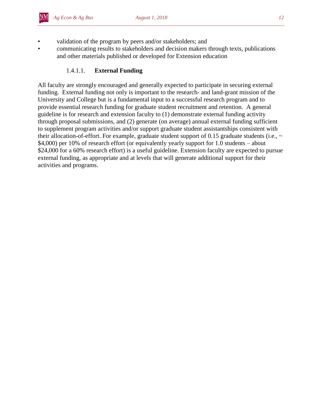- validation of the program by peers and/or stakeholders; and
- communicating results to stakeholders and decision makers through texts, publications and other materials published or developed for Extension education

## 1.4.1.1. **External Funding**

All faculty are strongly encouraged and generally expected to participate in securing external funding. External funding not only is important to the research- and land-grant mission of the University and College but is a fundamental input to a successful research program and to provide essential research funding for graduate student recruitment and retention. A general guideline is for research and extension faculty to (1) demonstrate external funding activity through proposal submissions, and (2) generate (on average) annual external funding sufficient to supplement program activities and/or support graduate student assistantships consistent with their allocation-of-effort. For example, graduate student support of 0.15 graduate students (i.e.,  $\sim$ \$4,000) per 10% of research effort (or equivalently yearly support for 1.0 students – about \$24,000 for a 60% research effort) is a useful guideline. Extension faculty are expected to pursue external funding, as appropriate and at levels that will generate additional support for their activities and programs.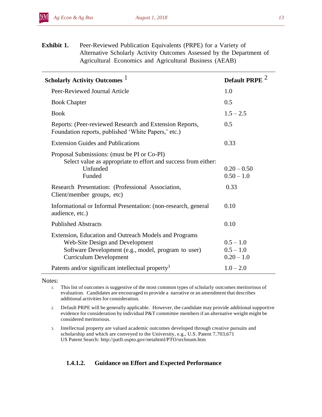*Ag Econ & Ag Bus August 1, 2018 13*

**Exhibit 1.** Peer-Reviewed Publication Equivalents (PRPE) for a Variety of Alternative Scholarly Activity Outcomes Assessed by the Department of Agricultural Economics and Agricultural Business (AEAB)

| Scholarly Activity Outcomes <sup>1</sup>                                                                                                                                                                               | <b>Default PRPE</b>                        |
|------------------------------------------------------------------------------------------------------------------------------------------------------------------------------------------------------------------------|--------------------------------------------|
| Peer-Reviewed Journal Article                                                                                                                                                                                          | 1.0                                        |
| <b>Book Chapter</b>                                                                                                                                                                                                    | 0.5                                        |
| <b>Book</b>                                                                                                                                                                                                            | $1.5 - 2.5$                                |
| Reports: (Peer-reviewed Research and Extension Reports,<br>Foundation reports, published 'White Papers,' etc.)                                                                                                         | 0.5                                        |
| <b>Extension Guides and Publications</b>                                                                                                                                                                               | 0.33                                       |
| Proposal Submissions: (must be PI or Co-PI)<br>Select value as appropriate to effort and success from either:<br>Unfunded<br>Funded<br>Research Presentation: (Professional Association,<br>Client/member groups, etc) | $0.20 - 0.50$<br>$0.50 - 1.0$<br>0.33      |
| Informational or Informal Presentation: (non-research, general<br>audience, etc.)                                                                                                                                      | 0.10                                       |
| <b>Published Abstracts</b>                                                                                                                                                                                             | 0.10                                       |
| Extension, Education and Outreach Models and Programs<br><b>Web-Site Design and Development</b><br>Software Development (e.g., model, program to user)<br><b>Curriculum Development</b>                                | $0.5 - 1.0$<br>$0.5 - 1.0$<br>$0.20 - 1.0$ |
| Patents and/or significant intellectual property <sup>3</sup>                                                                                                                                                          | $1.0 - 2.0$                                |

Notes:

- 1. This list of outcomes is suggestive of the most common types of scholarly outcomes meritorious of evaluation. Candidates are encouraged to provide a narrative or an amendment that describes additional activities for consideration.
- 2. Default PRPE will be generally applicable. However, the candidate may provide additionalsupportive evidence for consideration by individual P&T committee membersif an alternative weight might be considered meritorious.
- 3. Intellectual property are valued academic outcomes developed through creative pursuits and scholarship and which are conveyed to the University, e.g., U.S. Patent 7,703,671 US Patent Search: http://patft.uspto.gov/netahtml/PTO/srchnum.htm

## **1.4.1.2. Guidance on Effort and Expected Performance**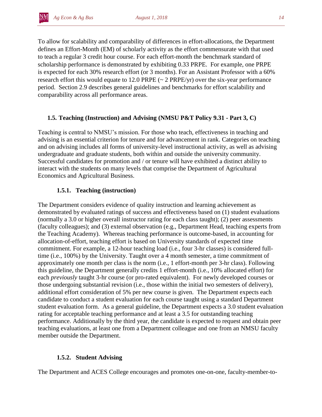To allow for scalability and comparability of differences in effort-allocations, the Department defines an Effort-Month (EM) of scholarly activity as the effort commensurate with that used to teach a regular 3 credit hour course. For each effort-month the benchmark standard of scholarship performance is demonstrated by exhibiting 0.33 PRPE. For example, one PRPE is expected for each 30% research effort (or 3 months). For an Assistant Professor with a 60% research effort this would equate to 12.0 PRPE (~ 2 PRPE/yr) over the six-year performance period. Section 2.9 describes general guidelines and benchmarks for effort scalability and comparability across all performance areas.

## **1.5. Teaching (Instruction) and Advising (NMSU P&T Policy 9.31 - Part 3, C)**

Teaching is central to NMSU's mission. For those who teach, effectiveness in teaching and advising is an essential criterion for tenure and for advancement in rank. Categories on teaching and on advising includes all forms of university-level instructional activity, as well as advising undergraduate and graduate students, both within and outside the university community. Successful candidates for promotion and / or tenure will have exhibited a distinct ability to interact with the students on many levels that comprise the Department of Agricultural Economics and Agricultural Business.

## **1.5.1. Teaching (instruction)**

The Department considers evidence of quality instruction and learning achievement as demonstrated by evaluated ratings of success and effectiveness based on (1) student evaluations (normally a 3.0 or higher overall instructor rating for each class taught); (2) peer assessments (faculty colleagues); and (3) external observation (e.g., Department Head, teaching experts from the Teaching Academy). Whereas teaching performance is outcome-based, in accounting for allocation-of-effort, teaching effort is based on University standards of expected time commitment. For example, a 12-hour teaching load (i.e., four 3-hr classes) is considered fulltime (i.e., 100%) by the University. Taught over a 4 month semester, a time commitment of approximately one month per class is the norm (i.e., 1 effort-month per 3-hr class). Following this guideline, the Department generally credits 1 effort-month (i.e., 10% allocated effort) for each *previously* taught 3-hr course (or pro-rated equivalent). For newly developed courses or those undergoing substantial revision (i.e., those within the initial two semesters of delivery), additional effort consideration of 5% per new course is given. The Department expects each candidate to conduct a student evaluation for each course taught using a standard Department student evaluation form. As a general guideline, the Department expects a 3.0 student evaluation rating for acceptable teaching performance and at least a 3.5 for outstanding teaching performance. Additionally by the third year, the candidate is expected to request and obtain peer teaching evaluations, at least one from a Department colleague and one from an NMSU faculty member outside the Department.

## **1.5.2. Student Advising**

The Department and ACES College encourages and promotes one-on-one, faculty-member-to-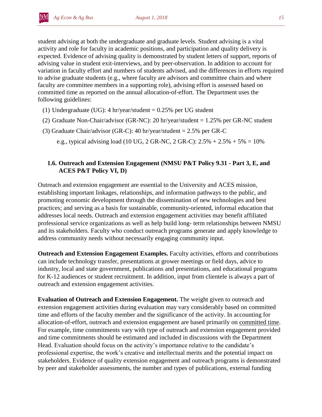student advising at both the undergraduate and graduate levels. Student advising is a vital activity and role for faculty in academic positions, and participation and quality delivery is expected. Evidence of advising quality is demonstrated by student letters of support, reports of advising value in student exit-interviews, and by peer-observation. In addition to account for variation in faculty effort and numbers of students advised, and the differences in efforts required to advise graduate students (e.g., where faculty are advisors and committee chairs and where faculty are committee members in a supporting role), advising effort is assessed based on committed time as reported on the annual allocation-of-effort. The Department uses the following guidelines:

- (1) Undergraduate (UG): 4 hr/year/student = 0.25% per UG student
- (2) Graduate Non-Chair/advisor (GR-NC): 20 hr/year/student = 1.25% per GR-NC student
- (3) Graduate Chair/advisor (GR-C): 40 hr/year/student = 2.5% per GR-C

e.g., typical advising load (10 UG, 2 GR-NC, 2 GR-C):  $2.5\% + 2.5\% + 5\% = 10\%$ 

## **1.6. Outreach and Extension Engagement (NMSU P&T Policy 9.31 - Part 3, E, and ACES P&T Policy VI, D)**

Outreach and extension engagement are essential to the University and ACES mission, establishing important linkages, relationships, and information pathways to the public, and promoting economic development through the dissemination of new technologies and best practices; and serving as a basis for sustainable, community-oriented, informal education that addresses local needs. Outreach and extension engagement activities may benefit affiliated professional service organizations as well as help build long- term relationships between NMSU and its stakeholders. Faculty who conduct outreach programs generate and apply knowledge to address community needs without necessarily engaging community input.

**Outreach and Extension Engagement Examples.** Faculty activities, efforts and contributions can include technology transfer, presentations at grower meetings or field days, advice to industry, local and state government, publications and presentations, and educational programs for K-12 audiences or student recruitment. In addition, input from clientele is always a part of outreach and extension engagement activities.

**Evaluation of Outreach and Extension Engagement.** The weight given to outreach and extension engagement activities during evaluation may vary considerably based on committed time and efforts of the faculty member and the significance of the activity. In accounting for allocation-of-effort, outreach and extension engagement are based primarily on committed time. For example, time commitments vary with type of outreach and extension engagement provided and time commitments should be estimated and included in discussions with the Department Head. Evaluation should focus on the activity's importance relative to the candidate's professional expertise, the work's creative and intellectual merits and the potential impact on stakeholders. Evidence of quality extension engagement and outreach programs is demonstrated by peer and stakeholder assessments, the number and types of publications, external funding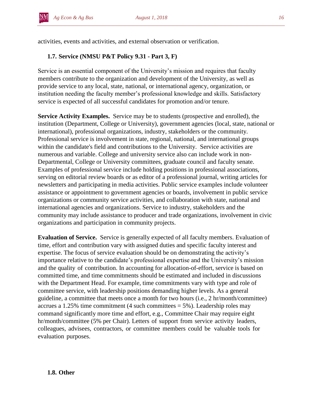activities, events and activities, and external observation or verification.

## **1.7. Service (NMSU P&T Policy 9.31 - Part 3, F)**

Service is an essential component of the University's mission and requires that faculty members contribute to the organization and development of the University, as well as provide service to any local, state, national, or international agency, organization, or institution needing the faculty member's professional knowledge and skills. Satisfactory service is expected of all successful candidates for promotion and/or tenure.

**Service Activity Examples.** Service may be to students (prospective and enrolled), the institution (Department, College or University), government agencies (local, state, national or international), professional organizations, industry, stakeholders or the community. Professional service is involvement in state, regional, national, and international groups within the candidate's field and contributions to the University. Service activities are numerous and variable. College and university service also can include work in non-Departmental, College or University committees, graduate council and faculty senate. Examples of professional service include holding positions in professional associations, serving on editorial review boards or as editor of a professional journal, writing articles for newsletters and participating in media activities. Public service examples include volunteer assistance or appointment to government agencies or boards, involvement in public service organizations or community service activities, and collaboration with state, national and international agencies and organizations. Service to industry, stakeholders and the community may include assistance to producer and trade organizations, involvement in civic organizations and participation in community projects.

**Evaluation of Service.** Service is generally expected of all faculty members. Evaluation of time, effort and contribution vary with assigned duties and specific faculty interest and expertise. The focus of service evaluation should be on demonstrating the activity's importance relative to the candidate's professional expertise and the University's mission and the quality of contribution. In accounting for allocation-of-effort, service is based on committed time, and time commitments should be estimated and included in discussions with the Department Head. For example, time commitments vary with type and role of committee service, with leadership positions demanding higher levels. As a general guideline, a committee that meets once a month for two hours (i.e., 2 hr/month/committee) accrues a 1.25% time commitment (4 such committees  $= 5\%$ ). Leadership roles may command significantly more time and effort, e.g., Committee Chair may require eight hr/month/committee (5% per Chair). Letters of support from service activity leaders, colleagues, advisees, contractors, or committee members could be valuable tools for evaluation purposes.

#### **1.8. Other**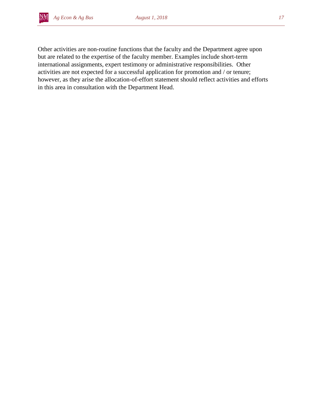

Other activities are non-routine functions that the faculty and the Department agree upon but are related to the expertise of the faculty member. Examples include short-term international assignments, expert testimony or administrative responsibilities. Other activities are not expected for a successful application for promotion and / or tenure; however, as they arise the allocation-of-effort statement should reflect activities and efforts in this area in consultation with the Department Head.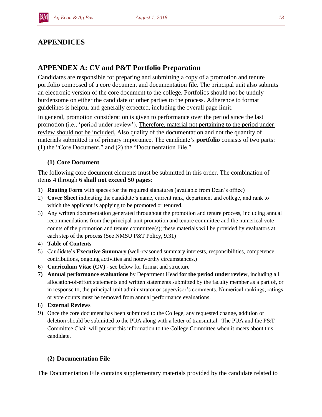# **APPENDICES**

# **APPENDEX A: CV and P&T Portfolio Preparation**

Candidates are responsible for preparing and submitting a copy of a promotion and tenure portfolio composed of a core document and documentation file. The principal unit also submits an electronic version of the core document to the college. Portfolios should not be unduly burdensome on either the candidate or other parties to the process. Adherence to format guidelines is helpful and generally expected, including the overall page limit.

In general, promotion consideration is given to performance over the period since the last promotion (i.e., 'period under review'). Therefore, material not pertaining to the period under review should not be included. Also quality of the documentation and not the quantity of materials submitted is of primary importance. The candidate's **portfolio** consists of two parts: (1) the "Core Document," and (2) the "Documentation File."

## **(1) Core Document**

The following core document elements must be submitted in this order. The combination of items 4 through 6 **shall not exceed 50 pages**:

- 1) **Routing Form** with spaces for the required signatures (available from Dean's office)
- 2) **Cover Sheet** indicating the candidate's name, current rank, department and college, and rank to which the applicant is applying to be promoted or tenured.
- 3) Any written documentation generated throughout the promotion and tenure process, including annual recommendations from the principal-unit promotion and tenure committee and the numerical vote counts of the promotion and tenure committee(s); these materials will be provided by evaluators at each step of the process (See NMSU P&T Policy, 9.31)
- 4) **Table of Contents**
- 5) Candidate's **Executive Summary** (well-reasoned summary interests, responsibilities, competence, contributions, ongoing activities and noteworthy circumstances.)
- 6) **Curriculum Vitae (CV)** see below for format and structure
- **7) Annual performance evaluations** by Department Head **for the period under review**, including all allocation-of-effort statements and written statements submitted by the faculty member as a part of, or in response to, the principal-unit administrator or supervisor's comments. Numerical rankings, ratings or vote counts must be removed from annual performance evaluations.
- 8) **External Reviews**
- 9) Once the core document has been submitted to the College, any requested change, addition or deletion should be submitted to the PUA along with a letter of transmittal. The PUA and the P&T Committee Chair will present this information to the College Committee when it meets about this candidate.

## **(2) Documentation File**

The Documentation File contains supplementary materials provided by the candidate related to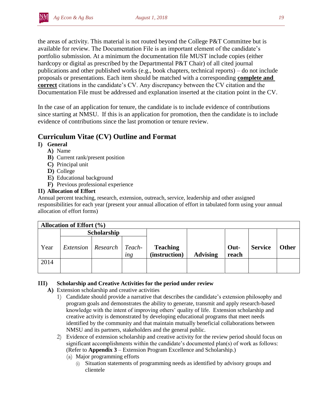

the areas of activity. This material is not routed beyond the College P&T Committee but is available for review. The Documentation File is an important element of the candidate's portfolio submission. At a minimum the documentation file MUST include copies (either hardcopy or digital as prescribed by the Departmental P&T Chair) of all cited journal publications and other published works (e.g., book chapters, technical reports) – do not include proposals or presentations. Each item should be matched with a corresponding **complete and correct** citations in the candidate's CV. Any discrepancy between the CV citation and the Documentation File must be addressed and explanation inserted at the citation point in the CV.

In the case of an application for tenure, the candidate is to include evidence of contributions since starting at NMSU. If this is an application for promotion, then the candidate is to include evidence of contributions since the last promotion or tenure review.

# **Curriculum Vitae (CV) Outline and Format**

## **I) General**

- **A)** Name
- **B)** Current rank/present position
- **C)** Principal unit
- **D)** College
- **E)** Educational background
- **F)** Previous professional experience

## **II) Allocation of Effort**

Annual percent teaching, research, extension, outreach, service, leadership and other assigned responsibilities for each year (present your annual allocation of effort in tabulated form using your annual allocation of effort forms)

| <b>Allocation of Effort (%)</b> |             |                               |            |                                  |                 |               |                |              |  |  |  |
|---------------------------------|-------------|-------------------------------|------------|----------------------------------|-----------------|---------------|----------------|--------------|--|--|--|
|                                 | Scholarship |                               |            |                                  |                 |               |                |              |  |  |  |
| Year                            |             | Extension   Research   Teach- | <i>ing</i> | <b>Teaching</b><br>(instruction) | <b>Advising</b> | Out-<br>reach | <b>Service</b> | <b>Other</b> |  |  |  |
| 2014                            |             |                               |            |                                  |                 |               |                |              |  |  |  |

#### **III) Scholarship and Creative Activities for the period under review**

- **A)** Extension scholarship and creative activities
	- 1) Candidate should provide a narrative that describes the candidate's extension philosophy and program goals and demonstrates the ability to generate, transmit and apply research-based knowledge with the intent of improving others' quality of life. Extension scholarship and creative activity is demonstrated by developing educational programs that meet needs identified by the community and that maintain mutually beneficial collaborations between NMSU and its partners, stakeholders and the general public.
	- 2) Evidence of extension scholarship and creative activity for the review period should focus on significant accomplishments within the candidate's documented plan(s) of work as follows: (Refer to **Appendix 3** – Extension Program Excellence and Scholarship.)
		- (a) Major programming efforts
			- (i) Situation statements of programming needs as identified by advisory groups and clientele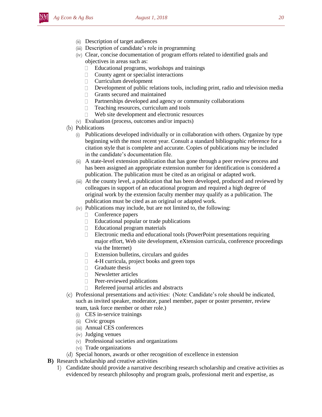- (ii) Description of target audiences
- (iii) Description of candidate's role in programming
- (iv) Clear, concise documentation of program efforts related to identified goals and objectives in areas such as:
	- Educational programs, workshops and trainings  $\Box$
	- $\Box$ County agent or specialist interactions
	- $\Box$ Curriculum development
	- Development of public relations tools, including print, radio and television media  $\Box$
	- $\Box$ Grants secured and maintained
	- Partnerships developed and agency or community collaborations  $\Box$
	- $\Box$ Teaching resources, curriculum and tools
	- Web site development and electronic resources  $\Box$
- (v) Evaluation (process, outcomes and/or impacts)
- (b) Publications
	- (i) Publications developed individually or in collaboration with others. Organize by type beginning with the most recent year. Consult a standard bibliographic reference for a citation style that is complete and accurate. Copies of publications may be included in the candidate's documentation file.
	- (ii) A state-level extension publication that has gone through a peer review process and has been assigned an appropriate extension number for identification is considered a publication. The publication must be cited as an original or adapted work.
	- (iii) At the county level, a publication that has been developed, produced and reviewed by colleagues in support of an educational program and required a high degree of original work by the extension faculty member may qualify as a publication. The publication must be cited as an original or adapted work.
	- (iv) Publications may include, but are not limited to, the following:
		- $\Box$ Conference papers
		- $\Box$ Educational popular or trade publications
		- Educational program materials  $\Box$
		- $\Box$ Electronic media and educational tools (PowerPoint presentations requiring major effort, Web site development, eXtension curricula, conference proceedings via the Internet)
		- Extension bulletins, circulars and guides  $\Box$
		- 4-H curricula, project books and green tops  $\Box$
		- $\Box$ Graduate thesis
		- $\Box$ Newsletter articles
		- $\Box$ Peer-reviewed publications
		- Refereed journal articles and abstracts  $\Box$
- (c) Professional presentations and activities: (Note: Candidate's role should be indicated, such as invited speaker, moderator, panel member, paper or poster presenter, review team, task force member or other role.)
	- (i) CES in-service trainings
	- (ii) Civic groups
	- (iii) Annual CES conferences
	- (iv) Judging venues
	- (v) Professional societies and organizations
	- (vi) Trade organizations
- (d) Special honors, awards or other recognition of excellence in extension
- **B)** Research scholarship and creative activities
	- 1) Candidate should provide a narrative describing research scholarship and creative activities as evidenced by research philosophy and program goals, professional merit and expertise, as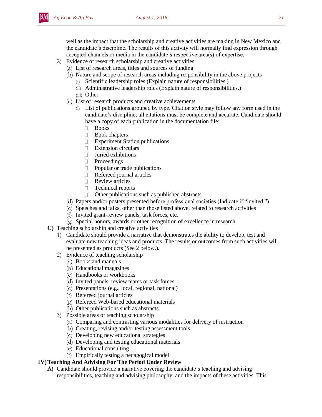well as the impact that the scholarship and creative activities are making in New Mexico and the candidate's discipline. The results of this activity will normally find expression through accepted channels or media in the candidate's respective area(s) of expertise.

- 2) Evidence of research scholarship and creative activities:
	- (a) List of research areas, titles and sources of funding
	- (b) Nature and scope of research areas including responsibility in the above projects
		- (i) Scientific leadership roles (Explain nature of responsibilities.)
		- (ii) Administrative leadership roles (Explain nature of responsibilities.)
		- (iii) Other
	- (c) List of research products and creative achievements
		- (i) List of publications grouped by type. Citation style may follow any form used in the candidate's discipline; all citations must be complete and accurate. Candidate should have a copy of each publication in the documentation file:
			- Books  $\Box$
			- $\Box$ Book chapters
			- $\Box$ Experiment Station publications
			- $\Box$ Extension circulars
			- Juried exhibitions  $\Box$
			- $\Box$ Proceedings
			- $\Box$ Popular or trade publications
			- Refereed journal articles  $\Box$
			- Review articles  $\Box$
			- Technical reports  $\Box$
			- $\Box$ Other publications such as published abstracts
	- (d) Papers and/or posters presented before professional societies (Indicate if "invited.")
	- (e) Speeches and talks, other than those listed above, related to research activities
	- (f) Invited grant-review panels, task forces, etc.
	- (g) Special honors, awards or other recognition of excellence in research
- **C)** Teaching scholarship and creative activities
	- 1) Candidate should provide a narrative that demonstrates the ability to develop, test and evaluate new teaching ideas and products. The results or outcomes from such activities will be presented as products (See 2 below.).
	- 2) Evidence of teaching scholarship
		- (a) Books and manuals
		- (b) Educational magazines
		- (c) Handbooks or workbooks
		- (d) Invited panels, review teams or task forces
		- (e) Presentations (e.g., local, regional, national)
		- (f) Refereed journal articles
		- (g) Refereed Web-based educational materials
		- (h) Other publications such as abstracts
	- 3) Possible areas of teaching scholarship
		- (a) Comparing and contrasting various modalities for delivery of instruction
		- (b) Creating, revising and/or testing assessment tools
		- (c) Developing new educational strategies
		- (d) Developing and testing educational materials
		- (e) Educational consulting
		- (f) Empirically testing a pedagogical model

#### **IV)Teaching And Advising For The Period Under Review**

**A)** Candidate should provide a narrative covering the candidate's teaching and advising responsibilities, teaching and advising philosophy, and the impacts of these activities. This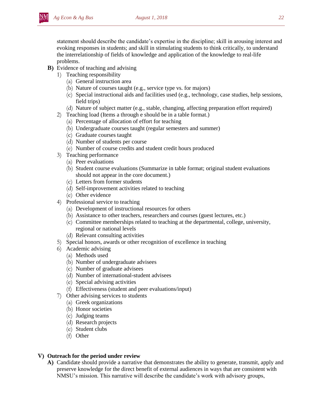statement should describe the candidate's expertise in the discipline; skill in arousing interest and evoking responses in students; and skill in stimulating students to think critically, to understand the interrelationship of fields of knowledge and application of the knowledge to real-life problems.

- **B)** Evidence of teaching and advising
	- 1) Teaching responsibility
		- (a) General instruction area
		- (b) Nature of courses taught (e.g., service type vs. for majors)
		- (c) Special instructional aids and facilities used (e.g., technology, case studies, help sessions, field trips)
		- (d) Nature of subject matter (e.g., stable, changing, affecting preparation effort required)
	- 2) Teaching load (Items a through e should be in a table format.)
		- (a) Percentage of allocation of effort for teaching
		- (b) Undergraduate courses taught (regular semesters and summer)
		- (c) Graduate courses taught
		- (d) Number of students per course
		- (e) Number of course credits and student credit hours produced
	- 3) Teaching performance
		- (a) Peer evaluations
		- (b) Student course evaluations (Summarize in table format; original student evaluations should not appear in the core document.)
		- (c) Letters from former students
		- (d) Self-improvement activities related to teaching
		- (e) Other evidence
	- 4) Professional service to teaching
		- (a) Development of instructional resources for others
		- (b) Assistance to other teachers, researchers and courses (guest lectures, etc.)
		- (c) Committee memberships related to teaching at the departmental, college, university, regional or national levels
		- (d) Relevant consulting activities
	- 5) Special honors, awards or other recognition of excellence in teaching
	- 6) Academic advising
		- (a) Methods used
		- (b) Number of undergraduate advisees
		- (c) Number of graduate advisees
		- (d) Number of international-student advisees
		- (e) Special advising activities
		- (f) Effectiveness (student and peer evaluations/input)
	- 7) Other advising services to students
		- (a) Greek organizations
		- (b) Honor societies
		- (c) Judging teams
		- (d) Research projects
		- (e) Student clubs
		- (f) Other

#### **V) Outreach for the period under review**

**A)** Candidate should provide a narrative that demonstrates the ability to generate, transmit, apply and preserve knowledge for the direct benefit of external audiences in ways that are consistent with NMSU's mission. This narrative will describe the candidate's work with advisory groups,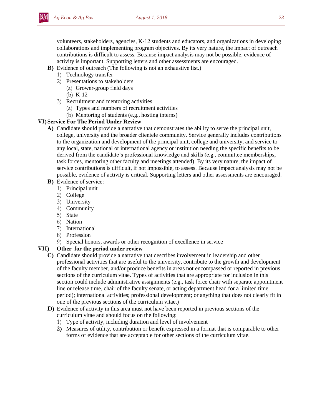volunteers, stakeholders, agencies, K-12 students and educators, and organizations in developing collaborations and implementing program objectives. By its very nature, the impact of outreach contributions is difficult to assess. Because impact analysis may not be possible, evidence of activity is important. Supporting letters and other assessments are encouraged.

- **B)** Evidence of outreach (The following is not an exhaustive list.)
	- 1) Technology transfer
	- 2) Presentations to stakeholders
		- (a) Grower-group field days
		- (b) K-12
	- 3) Recruitment and mentoring activities
		- (a) Types and numbers of recruitment activities
		- (b) Mentoring of students (e.g., hosting interns)

#### **VI)Service For The Period Under Review**

- **A)** Candidate should provide a narrative that demonstrates the ability to serve the principal unit, college, university and the broader clientele community. Service generally includes contributions to the organization and development of the principal unit, college and university, and service to any local, state, national or international agency or institution needing the specific benefits to be derived from the candidate's professional knowledge and skills (e.g., committee memberships, task forces, mentoring other faculty and meetings attended). By its very nature, the impact of service contributions is difficult, if not impossible, to assess. Because impact analysis may not be possible, evidence of activity is critical. Supporting letters and other assessments are encouraged.
- **B)** Evidence of service:
	- 1) Principal unit
	- 2) College
	- 3) University
	- 4) Community
	- 5) State
	- 6) Nation
	- 7) International
	- 8) Profession
	- 9) Special honors, awards or other recognition of excellence in service

#### **VII) Other for the period under review**

- **C)** Candidate should provide a narrative that describes involvement in leadership and other professional activities that are useful to the university, contribute to the growth and development of the faculty member, and/or produce benefits in areas not encompassed or reported in previous sections of the curriculum vitae. Types of activities that are appropriate for inclusion in this section could include administrative assignments (e.g., task force chair with separate appointment line or release time, chair of the faculty senate, or acting department head for a limited time period); international activities; professional development; or anything that does not clearly fit in one of the previous sections of the curriculum vitae.)
- **D)** Evidence of activity in this area must not have been reported in previous sections of the curriculum vitae and should focus on the following:
	- 1) Type of activity, including duration and level of involvement
	- **2)** Measures of utility, contribution or benefit expressed in a format that is comparable to other forms of evidence that are acceptable for other sections of the curriculum vitae.